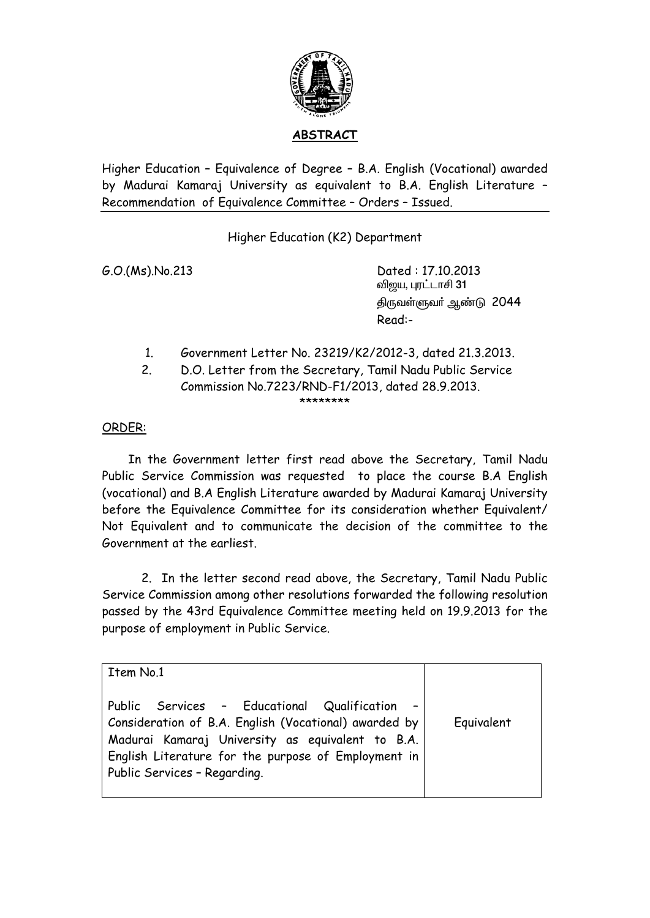

## **ABSTRACT**

Higher Education – Equivalence of Degree – B.A. English (Vocational) awarded by Madurai Kamaraj University as equivalent to B.A. English Literature – Recommendation of Equivalence Committee – Orders – Issued.

Higher Education (K2) Department

G.O.(Ms).No.213 Dated : 17.10.2013 விறய, புரட்டாசி 31 திருவள்ளுவர் ஆண்டு 2044 Read:-

- 1. Government Letter No. 23219/K2/2012-3, dated 21.3.2013.
- 2. D.O. Letter from the Secretary, Tamil Nadu Public Service Commission No.7223/RND-F1/2013, dated 28.9.2013. \*\*\*\*\*\*\*\*

## ORDER:

 In the Government letter first read above the Secretary, Tamil Nadu Public Service Commission was requested to place the course B.A English (vocational) and B.A English Literature awarded by Madurai Kamaraj University before the Equivalence Committee for its consideration whether Equivalent/ Not Equivalent and to communicate the decision of the committee to the Government at the earliest.

 2. In the letter second read above, the Secretary, Tamil Nadu Public Service Commission among other resolutions forwarded the following resolution passed by the 43rd Equivalence Committee meeting held on 19.9.2013 for the purpose of employment in Public Service.

| Item No.1                                                                                                                                                                                                                                         |            |
|---------------------------------------------------------------------------------------------------------------------------------------------------------------------------------------------------------------------------------------------------|------------|
| Public Services - Educational Qualification -<br>Consideration of B.A. English (Vocational) awarded by<br>Madurai Kamaraj University as equivalent to B.A.<br>English Literature for the purpose of Employment in<br>Public Services - Regarding. | Equivalent |